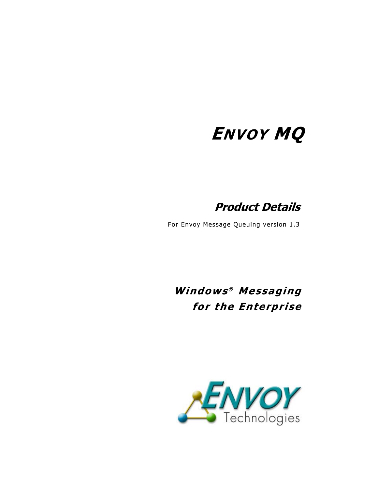# **ENVOY MQ**

**Product Details** 

For Envoy Message Queuing version 1.3

**Windows® Messaging for the Enterprise** 

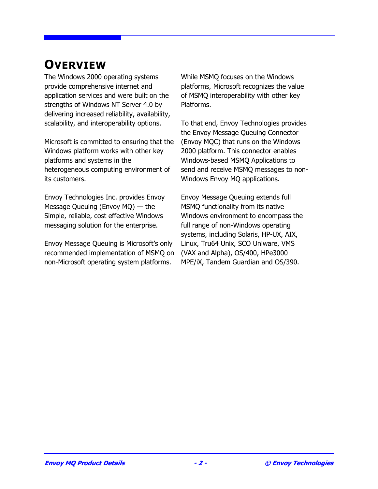# **OVERVIEW**

The Windows 2000 operating systems provide comprehensive internet and application services and were built on the strengths of Windows NT Server 4.0 by delivering increased reliability, availability, scalability, and interoperability options.

Microsoft is committed to ensuring that the Windows platform works with other key platforms and systems in the heterogeneous computing environment of its customers.

Envoy Technologies Inc. provides Envoy Message Queuing (Envoy MQ) — the Simple, reliable, cost effective Windows messaging solution for the enterprise.

Envoy Message Queuing is Microsoft's only recommended implementation of MSMQ on non-Microsoft operating system platforms.

While MSMQ focuses on the Windows platforms, Microsoft recognizes the value of MSMQ interoperability with other key Platforms.

To that end, Envoy Technologies provides the Envoy Message Queuing Connector (Envoy MQC) that runs on the Windows 2000 platform. This connector enables Windows-based MSMQ Applications to send and receive MSMQ messages to non-Windows Envoy MQ applications.

Envoy Message Queuing extends full MSMQ functionality from its native Windows environment to encompass the full range of non-Windows operating systems, including Solaris, HP-UX, AIX, Linux, Tru64 Unix, SCO Uniware, VMS (VAX and Alpha), OS/400, HPe3000 MPE/iX, Tandem Guardian and OS/390.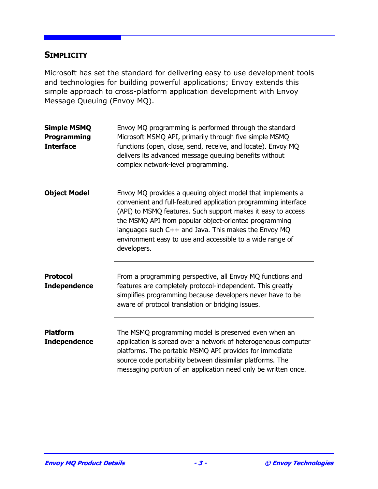#### **SIMPLICITY**

Microsoft has set the standard for delivering easy to use development tools and technologies for building powerful applications; Envoy extends this simple approach to cross-platform application development with Envoy Message Queuing (Envoy MQ).

| <b>Simple MSMQ</b><br>Programming<br><b>Interface</b> | Envoy MQ programming is performed through the standard<br>Microsoft MSMQ API, primarily through five simple MSMQ<br>functions (open, close, send, receive, and locate). Envoy MQ<br>delivers its advanced message queuing benefits without<br>complex network-level programming.                                                                                                          |
|-------------------------------------------------------|-------------------------------------------------------------------------------------------------------------------------------------------------------------------------------------------------------------------------------------------------------------------------------------------------------------------------------------------------------------------------------------------|
| <b>Object Model</b>                                   | Envoy MQ provides a queuing object model that implements a<br>convenient and full-featured application programming interface<br>(API) to MSMQ features. Such support makes it easy to access<br>the MSMQ API from popular object-oriented programming<br>languages such C++ and Java. This makes the Envoy MQ<br>environment easy to use and accessible to a wide range of<br>developers. |
| <b>Protocol</b><br><b>Independence</b>                | From a programming perspective, all Envoy MQ functions and<br>features are completely protocol-independent. This greatly<br>simplifies programming because developers never have to be<br>aware of protocol translation or bridging issues.                                                                                                                                               |
| <b>Platform</b><br><b>Independence</b>                | The MSMQ programming model is preserved even when an<br>application is spread over a network of heterogeneous computer<br>platforms. The portable MSMQ API provides for immediate<br>source code portability between dissimilar platforms. The<br>messaging portion of an application need only be written once.                                                                          |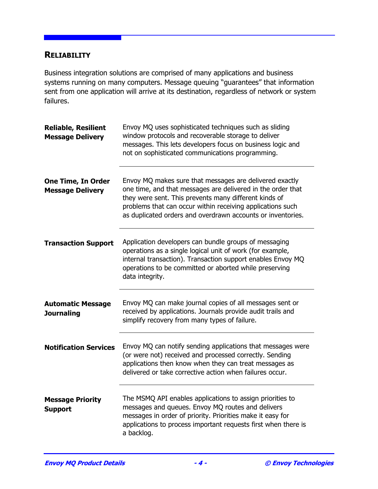#### **RELIABILITY**

Business integration solutions are comprised of many applications and business systems running on many computers. Message queuing "guarantees" that information sent from one application will arrive at its destination, regardless of network or system failures.

| <b>Reliable, Resilient</b><br><b>Message Delivery</b> | Envoy MQ uses sophisticated techniques such as sliding<br>window protocols and recoverable storage to deliver<br>messages. This lets developers focus on business logic and<br>not on sophisticated communications programming.                                                                              |
|-------------------------------------------------------|--------------------------------------------------------------------------------------------------------------------------------------------------------------------------------------------------------------------------------------------------------------------------------------------------------------|
| <b>One Time, In Order</b><br><b>Message Delivery</b>  | Envoy MQ makes sure that messages are delivered exactly<br>one time, and that messages are delivered in the order that<br>they were sent. This prevents many different kinds of<br>problems that can occur within receiving applications such<br>as duplicated orders and overdrawn accounts or inventories. |
| <b>Transaction Support</b>                            | Application developers can bundle groups of messaging<br>operations as a single logical unit of work (for example,<br>internal transaction). Transaction support enables Envoy MQ<br>operations to be committed or aborted while preserving<br>data integrity.                                               |
| <b>Automatic Message</b><br><b>Journaling</b>         | Envoy MQ can make journal copies of all messages sent or<br>received by applications. Journals provide audit trails and<br>simplify recovery from many types of failure.                                                                                                                                     |
| <b>Notification Services</b>                          | Envoy MQ can notify sending applications that messages were<br>(or were not) received and processed correctly. Sending<br>applications then know when they can treat messages as<br>delivered or take corrective action when failures occur.                                                                 |
| <b>Message Priority</b><br><b>Support</b>             | The MSMQ API enables applications to assign priorities to<br>messages and queues. Envoy MQ routes and delivers<br>messages in order of priority. Priorities make it easy for<br>applications to process important requests first when there is<br>a backlog.                                                 |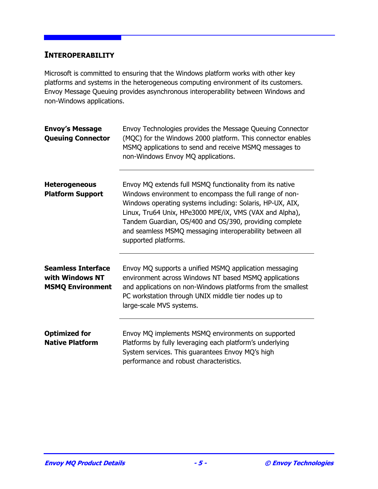#### **INTEROPERABILITY**

Microsoft is committed to ensuring that the Windows platform works with other key platforms and systems in the heterogeneous computing environment of its customers. Envoy Message Queuing provides asynchronous interoperability between Windows and non-Windows applications.

| <b>Envoy's Message</b><br><b>Queuing Connector</b>                      | Envoy Technologies provides the Message Queuing Connector<br>(MQC) for the Windows 2000 platform. This connector enables<br>MSMQ applications to send and receive MSMQ messages to<br>non-Windows Envoy MQ applications.                                                                                                                                                                  |
|-------------------------------------------------------------------------|-------------------------------------------------------------------------------------------------------------------------------------------------------------------------------------------------------------------------------------------------------------------------------------------------------------------------------------------------------------------------------------------|
| <b>Heterogeneous</b><br><b>Platform Support</b>                         | Envoy MQ extends full MSMQ functionality from its native<br>Windows environment to encompass the full range of non-<br>Windows operating systems including: Solaris, HP-UX, AIX,<br>Linux, Tru64 Unix, HPe3000 MPE/iX, VMS (VAX and Alpha),<br>Tandem Guardian, OS/400 and OS/390, providing complete<br>and seamless MSMQ messaging interoperability between all<br>supported platforms. |
| <b>Seamless Interface</b><br>with Windows NT<br><b>MSMQ Environment</b> | Envoy MQ supports a unified MSMQ application messaging<br>environment across Windows NT based MSMQ applications<br>and applications on non-Windows platforms from the smallest<br>PC workstation through UNIX middle tier nodes up to<br>large-scale MVS systems.                                                                                                                         |
| <b>Optimized for</b><br><b>Native Platform</b>                          | Envoy MQ implements MSMQ environments on supported<br>Platforms by fully leveraging each platform's underlying<br>System services. This guarantees Envoy MQ's high<br>performance and robust characteristics.                                                                                                                                                                             |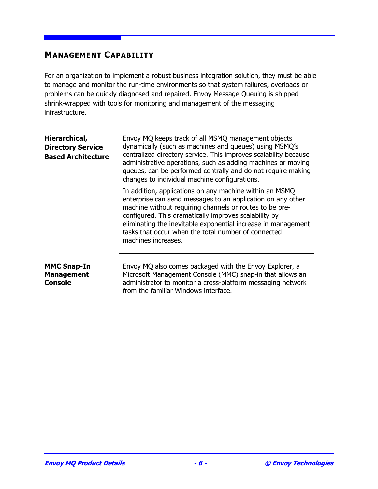#### **MANAGEMENT CAPABILITY**

For an organization to implement a robust business integration solution, they must be able to manage and monitor the run-time environments so that system failures, overloads or problems can be quickly diagnosed and repaired. Envoy Message Queuing is shipped shrink-wrapped with tools for monitoring and management of the messaging infrastructure.

| Hierarchical,<br><b>Directory Service</b><br><b>Based Architecture</b> | Envoy MQ keeps track of all MSMQ management objects<br>dynamically (such as machines and queues) using MSMQ's<br>centralized directory service. This improves scalability because<br>administrative operations, such as adding machines or moving<br>queues, can be performed centrally and do not require making<br>changes to individual machine configurations.                        |
|------------------------------------------------------------------------|-------------------------------------------------------------------------------------------------------------------------------------------------------------------------------------------------------------------------------------------------------------------------------------------------------------------------------------------------------------------------------------------|
|                                                                        | In addition, applications on any machine within an MSMQ<br>enterprise can send messages to an application on any other<br>machine without requiring channels or routes to be pre-<br>configured. This dramatically improves scalability by<br>eliminating the inevitable exponential increase in management<br>tasks that occur when the total number of connected<br>machines increases. |
| <b>MMC Snap-In</b><br><b>Management</b><br><b>Console</b>              | Envoy MQ also comes packaged with the Envoy Explorer, a<br>Microsoft Management Console (MMC) snap-in that allows an<br>administrator to monitor a cross-platform messaging network                                                                                                                                                                                                       |

from the familiar Windows interface.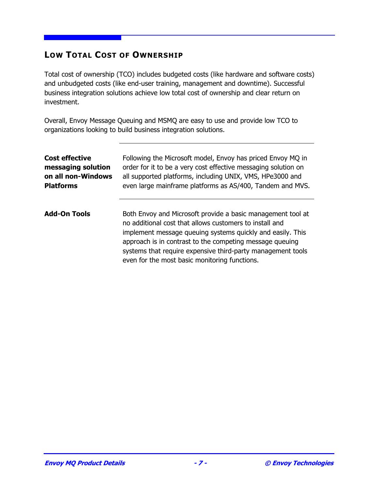### **LOW TOTAL COST OF OWNERSHIP**

Total cost of ownership (TCO) includes budgeted costs (like hardware and software costs) and unbudgeted costs (like end-user training, management and downtime). Successful business integration solutions achieve low total cost of ownership and clear return on investment.

Overall, Envoy Message Queuing and MSMQ are easy to use and provide low TCO to organizations looking to build business integration solutions.

| <b>Cost effective</b> | Following the Microsoft model, Envoy has priced Envoy MQ in                                                                                                                                                                                                                                                                                                      |
|-----------------------|------------------------------------------------------------------------------------------------------------------------------------------------------------------------------------------------------------------------------------------------------------------------------------------------------------------------------------------------------------------|
| messaging solution    | order for it to be a very cost effective messaging solution on                                                                                                                                                                                                                                                                                                   |
| on all non-Windows    | all supported platforms, including UNIX, VMS, HPe3000 and                                                                                                                                                                                                                                                                                                        |
| <b>Platforms</b>      | even large mainframe platforms as AS/400, Tandem and MVS.                                                                                                                                                                                                                                                                                                        |
| <b>Add-On Tools</b>   | Both Envoy and Microsoft provide a basic management tool at<br>no additional cost that allows customers to install and<br>implement message queuing systems quickly and easily. This<br>approach is in contrast to the competing message queuing<br>systems that require expensive third-party management tools<br>even for the most basic monitoring functions. |